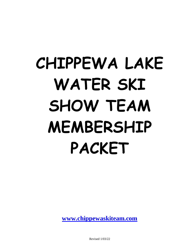# **CHIPPEWA LAKE WATER SKI SHOW TEAM MEMBERSHIP PACKET**

**[www.chippewaskiteam.com](http://www.chippewaskiteam.com/)**

Revised 1/03/22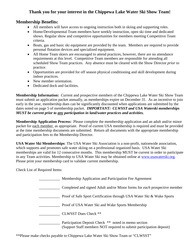# **Thank you for your interest in the Chippewa Lake Water Ski Show Team!**

# **Membership Benefits:**

- All members will have access to ongoing instruction both in skiing and supporting roles.
- Home/Developmental Team members have weekly instruction, open ski time and dedicated shows. Regular show and competitive opportunities for members meeting Competitive Team criteria.
- Boats, gas and basic ski equipment are provided by the team. Members are required to provide personal flotation devices and specialized equipment.
- All Home Team skiers are encouraged to attend practices, however, there are no attendance requirements at this level. Competitive Team members are responsible for attending all scheduled Show Team practices. Any absence must be cleared with the Show Director *prior to* practice.
- Opportunities are provided for off season physical conditioning and skill development during indoor practices.
- New member orientation.
- Dedicated dock and facilities.

**Membership Information:** Current and prospective members of the Chippewa Lake Water Ski Show Team must submit an application packet annually, as memberships expire on December 31. As an incentive to join early in the year, membership dues can be significantly discounted when applications are submitted by the dates noted on page 5 of membership packet. *IMPORTANT: CLWSST and USA Waterski memberships MUST be current prior to any participation in land/water practices and activities.*

**Membership Application Process:** Please complete the membership application and an adult and/or minor packet for each member, as appropriate. Proof of current USA membership is required and must be provided at the time membership documents are submitted. Return all documents with the appropriate membership and participation fees to the Membership Director.

**USA Water Ski Memberships**: The USA Water Ski Association is a non-profit, nationwide association, which supports and promotes safe water skiing on a professional organized basis. USA Water Ski memberships are valid for 12 consecutive months. This membership MUST be current in order to participate in any Team activities. Membership to USA Water Ski may be obtained online at [www.usawaterski.org.](http://www.usawaterski.org/) Please print your membership card to validate current membership.

Check List of Required Items:

\_\_\_\_\_\_\_\_\_\_\_ Membership Application and Participation Fee Agreement \_\_\_\_\_\_\_\_\_\_\_ Completed and signed Adult and/or Minor forms for *each* prospective member Proof of Safe Sport Certification through USA Water Ski & Wake Sports **EXECUTE:** Proof of USA Water Ski and Wake Sports Membership \_\_\_\_\_\_\_\_\_\_\_ CLWSST Dues Check \*\* **EXECUTE:** Participation Deposit Check \*\* noted in memo section (Support Staff members NOT required to submit participation deposit)

\*\*Please make checks payable to Chippewa Lake Water Ski Show Team or "CLWSST"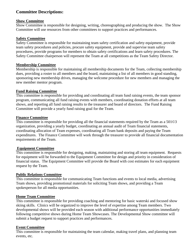# **Committee Descriptions:**

#### **Show Committee**

Show Committee is responsible for designing, writing, choreographing and producing the show. The Show Committee will use resources from other committees to support practices and performances.

#### **Safety Committee**

Safety Committee is responsible for maintaining team safety certification and safety equipment, provide team safety procedures and policies, procure safety equipment, provide and supervise team safety procedures, provide programs for members to obtain safety certifications and learn safety procedures. The Safety Committee chairperson will represent the Team at all competitions as the Team Safety Director.

#### **Membership Committee**

Membership is responsible for maintaining all membership documents for the Team, collecting membership dues, providing a roster to all members and the board, maintaining a list of all members in good standing, sponsoring new membership drives, managing the welcome procedure for new members and managing the new member mentor program.

#### **Fund Raising Committee**

This committee is responsible for providing and coordinating all team fund raising events, the team sponsor program, communicating all fund raising events with members, coordinating donation efforts at all team shows, and reporting all fund raising results to the treasurer and board of directors. The Fund Raising Committee will provide a yearly fund raising goal for the Team.

#### **Finance Committee**

This committee is responsible for providing all the financial statements required by the Team as a 501©3 organization, providing a yearly budget, coordinating an annual audit of Team financial statements, coordinating allocation of Team expenses, coordinating all Team bank deposits and paying the Team expenditures. The Finance Committee will work through the treasurer to provide all financial documentation requirements of the Team.

#### **Equipment Committee**

This committee is responsible for designing, making, maintaining and storing all team equipment. Requests for equipment will be forwarded to the Equipment Committee for design and priority in consideration of financial status. The Equipment Committee will provide the Board with cost estimates for each equipment request by the Team.

#### **Public Relations Committee**

This committee is responsible for communicating Team functions and events to local media, advertising Team shows, providing promotional materials for soliciting Team shows, and providing a Team spokesperson for all media opportunities.

#### **Home Team Committee**

This committee is responsible for providing coaching and mentoring for basic waterski and focused show skiing skills. Clinics will be organized to improve the level of expertise among Team members. Two developmental shows will be provided each season with additional performance opportunities immediately following competitive shows during Home Team Showcases. The Developmental Show committee will submit a budget request to support practices and performances.

#### **Event Committee**

This committee is responsible for maintaining the team calendar, making travel plans, and planning team events, etc.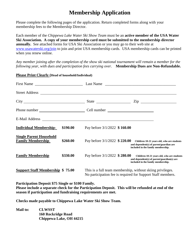# **Membership Application**

Please complete the following pages of the application. Return completed forms along with your membership fees to the Membership Director.

Each member of the *Chippewa Lake Water Ski Show Team* must be an **active member of the USA Water Ski Association. A copy of your membership card must be submitted to the membership director annually.** See attached forms for USA Ski Association or you may go to their web site at [www.usawaterski.org/join](http://www.usawaterski.org/join) to join and print USA membership cards. USA membership cards can be printed when you renew online.

*Any member joining after the completion of the show ski national tournament will remain a member for the following year, with dues and participation fees carrying over.* **Membership Dues are Non-Refundable.**

|                                                            |          |                                                                                                                           | $\mathsf{Zip}$                                                                                                                 |
|------------------------------------------------------------|----------|---------------------------------------------------------------------------------------------------------------------------|--------------------------------------------------------------------------------------------------------------------------------|
|                                                            |          |                                                                                                                           |                                                                                                                                |
|                                                            |          |                                                                                                                           |                                                                                                                                |
| <b>Individual Membership-</b>                              | \$190.00 | Pay before 3/1/2022 \$160.00                                                                                              |                                                                                                                                |
| <b>Single Parent Household</b><br><b>Family Membership</b> | \$260.00 | Pay before $3/1/2022$ \$ 220.00                                                                                           | Children 18-21 years old, who are students<br>and dependent(s) of parent/guardian are<br>included in the family membership.    |
| <b>Family Membership</b>                                   | \$330.00 | Pay before $3/1/2022$ \$280.00                                                                                            | Children 18-21 years old, who are students<br>and dependent(s) of parent/guardian(s) are<br>included in the family membership. |
| <b>Support Staff Membership \$75.00</b>                    |          | This is a full team membership, without skiing privileges.<br>No participation fee is required for Support Staff members. |                                                                                                                                |

**Please Print Clearly (Head of household/Individual)**

**Participation Deposit \$75 Single or \$100 Family. Please include a separate check for the Participation Deposit. This will be refunded at end of the season if participation and fundraising requirements are met.**

**Checks made payable to Chippewa Lake Water Ski Show Team.**

| <b>Mail to:</b> | <b>CLWSST</b>           |
|-----------------|-------------------------|
|                 | 160 Rockridge Road      |
|                 | Chippewa Lake, OH 44215 |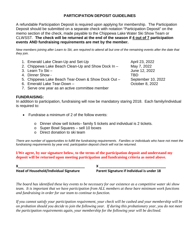## **PARTICIPATION DEPOSIT GUIDELINES**

A refundable Participation Deposit is required upon applying for membership. The Participation Deposit should be submitted on a separate check with notation "Participation Deposit" on the memo section of the check, made payable to the Chippewa Lake Water Ski Show Team or CLWSST. **The check will be returned at the end of the season if 4 out of 7 participation events AND fundraising requirements are met by the member.** 

*New members joining after Learn to Ski, are required to attend all but one of the remaining events after the date that they join.* 

- 1. Emerald Lake Clean-Up and Set-Up April 23, 2022
- 2. Chippewa Lake Beach Clean-Up and Show Dock In May 7, 2022
- 3. Learn To Ski June 12, 2022
- 4. Dinner Show TBD
- 5. Chippewa Lake Beach Tear-Down & Show Dock Out September 10, 2022
- 6. Emerald Lake Tear-Down Contract Contract Contract Contract Contract October 8, 2022
- 7. Serve one year as an active committee member

**FUNDRAISING:**

In addition to participation, fundraising will now be mandatory staring 2018. Each family/individual is required to:

- Fundraise a minimum of 2 of the follow events:
	- o Dinner show sell tickets– family 5 tickets and individual is 2 tickets.
	- o Super Bowl Squares sell 10 boxes
	- o Direct donation to ski team

*There are number of opportunities to fulfill the fundraising requirements. Families or individuals who have not meet the fundraising requirements by year end, participation deposit check will not be returned.*

**I/We agree, by our signature below, to the terms of the participation deposit and understand my deposit will be returned upon meeting participation and fundraising criteria as noted above.**

| <b>Head of Household/Individual Signature</b> | Parent Signature if Individual is under 18 |
|-----------------------------------------------|--------------------------------------------|

*The board has identified these key events to be necessary for our existence as a competitive water ski show team. It is important that we have participation from ALL members at these bare minimum work functions and fundraising in order for our team to continue to function.*

*If you cannot satisfy your participation requirement, your check will be cashed and your membership will be on probation should you decide to join the following year. If during this probationary year, you do not meet the participation requirements again, your membership for the following year will be declined.*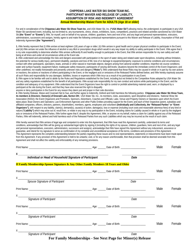#### **CHIPPEWA LAKE WATER SKI SHOW TEAM INC. PARTICIPANT WAIVER AND RELEASE OF LIABILITY, ASSUMPTION OF RISK AND INDEMNITY AGREEMENT Annual Membership Waiver Form for ADULTS (Age 18 or older)**

For and in consideration of the **Chippewa Lake Water Ski Show Team Inc**. and USA Water Ski, Inc. **("USA Water Ski")** allowing me/us, the undersigned, to participate in any USA Water Ski sanctioned event, including, but not limited to, any tournaments, clinics, shows, exhibitions, races, competitions, practices and related activities sanctioned by USA Water Ski **(the "Event" or "Events")**; I/We, for myself, and on behalf of my spouse, children, guardians, heirs and next of kin, and any legal and personal representatives, executors, administrators, successors and assigns, hereby agree to and make the following contractual representations pursuant to this Waiver and Release of Liability, Assumption of Risk and Indemnity Agreement **(the "Agreement")**;

**1.** I/We hereby represent that (i) I/We am/are at least eighteen (18) years of age or older; (ii) I/We am/are in good health and in proper physical condition to participate in the Event; and (iii) I/We am/are not under the influence of alcohol or any illicit or prescription drugs which would in any way impair my ability to safely participate in the Event. I/We agree that it is my sole responsibility to determine whether I/We am/are sufficiently fit and healthy enough to participate in the Event, that I/We am/are responsible for my own safety and well being at all times and under all circumstances while at the Event site.

**2.** I/We understand and acknowledge the risks and dangers associated with participation in the sport of water skiing and related water sport disciplines, including without limitation, the potential for serious bodily injury, permanent disability, paralysis and loss of life; loss of or damage to equipment/property; exposure to extreme conditions and circumstances; contact with other participants, spectators, boats, animals or other natural or manmade objects; dangers arising from adverse weather conditions; imperfect ski course conditions; water and surface hazards; equipment failure; inadequate safety measures; participants of varying skill levels; situations beyond the immediate control of the Event Organizers; and other undefined, not readily foreseeable and presently unknown risks and dangers **("Risks")**. I/We understand that these Risks may be caused in whole or in part by my own actions or inactions, the actions or inactions of others participating in the Event, or the negligent acts or omissions of the Released Parties defined below, and I/We hereby expressly assume all such Risks and responsibility for any damages, liabilities, losses or expenses which I/We incur as a result of my participation in any Event.

**3.** I/We agree to be familiar with and to abide by the Rules and Regulations established for the Event, including but not limited to the Competitive Rules adopted by USA Water Ski and any safety regulations established for the benefit of all participants. I/We accept sole responsibility for my own conduct and actions while participating in the Event, and the condition and adequacy of my equipment. I/We understand that the Event Organizers have the right to control or prohibit advertising material used, worn, or displayed by a participant at the site during the Event, and that they have also reserved the right to disqualify

anyone or deny participation in the Event for any reason they deem just and proper in their sole discretion.

**4**. I/We hereby Release, Waive and Covenant Not to Sue, and further agree to Indemnify, Defend and Hold Harmless the following parties**: Chippewa Lake Water Ski Show Team, its members & Directors**; **Owner(s) of Emerald Lake, Norton OH;** USA Water Ski, Inc., its members, clubs, associations, sport disciplines and divisions; National Show Ski Association (NSSA); the Event Organizers and Promoters, Sponsors, Advertisers, Coaches and Officials; Lake, Venue and Property Owners or Operators upon which the Event takes place; Boat Owners and Operators; Law Enforcement Agencies and other Public Entities providing support for the Event; and each of their respective parent, subsidiary and affiliated companies, officers, directors, partners, shareholders, members, agents, employees and volunteers **(Individually and Collectively, the "Released Parties" or "Event Organizers")**, with respect to any liability, claim(s), demand(s), cause(s) of action, damage(s), loss or expense (including court costs and reasonable attorneys fees) of any kind or nature **("Liability")** which may arise out of, result from, or relate in any way to my participation in the Event, including claims for Liability caused in whole or in part by the negligent acts or omissions of the Released Parties. I/We further agree that if, despite this Agreement, I/We, or anyone on my behalf, makes a claim for Liability against any of the Released Parties, I/We will indemnify, defend and hold harmless each of the Released Parties from any such Liabilities which any may be incurred as the result of such claim.

I/We hereby warrant that I/We am/are of legal age and competent to enter into this Agreement, that I/We have read this Agreement carefully, understand its terms and conditions, acknowledge that I/We will be giving up substantial legal rights by signing it (including the rights of my spouse, children, guardians, heirs and next of kin, and any legal and personal representatives, executors, administrators, successors and assigns), acknowledge that I/We have signed this Agreement without any inducement, assurance or guarantee, and intend for my signature to serve as confirmation of my complete and unconditional acceptance of the terms, conditions and provisions of this Agreement. This Agreement represents the complete understanding between the parties regarding these issues and no oral representations, statements or inducements have been made apart from this Agreement. If any provision of this Agreement is held to be unlawful, void, or for any reason unenforceable, then that provision shall be deemed severable from this Agreement and shall not affect the validity and enforceability of any remaining provisions.

|                                                                                     |  |      | Male | Female |
|-------------------------------------------------------------------------------------|--|------|------|--------|
| $x \overline{\phantom{a}}$                                                          |  |      |      |        |
| Individual or Head of Household Signature of Participant                            |  | Date |      |        |
| If Family Membership-Spouse Signature & Any Other Family Members 18 Years and Older |  |      |      |        |
|                                                                                     |  |      | Male | Female |
|                                                                                     |  |      |      |        |
| Spouse Signature of Participant                                                     |  | Date |      |        |
|                                                                                     |  |      | Male | Female |
|                                                                                     |  |      |      |        |
| Signature of Participant                                                            |  | Date |      |        |
|                                                                                     |  |      | Male | Female |
|                                                                                     |  |      |      |        |
| <b>Signature of Participant</b>                                                     |  | Date |      |        |
|                                                                                     |  |      | Male | Female |
| $x \underline{\hspace{1cm}}$                                                        |  |      |      |        |
| <b>Signature of Participant</b>                                                     |  | Date |      |        |

**For Family Memberships - See Next Page for Minor(s) Release**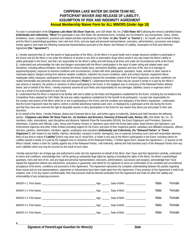#### **CHIPPEWA LAKE WATER SKI SHOW TEAM INC. PARTICIPANT WAIVER AND RELEASE OF LIABILITY, ASSUMPTION OF RISK AND INDEMNITY AGREEMENT Annual Membership Waiver Form for ALL MINORS (Under Age 18)**

For and in consideration of the **Chippewa Lake Water Ski Show Team Inc**. and USA Water Ski, Inc. **("USA Water Ski")** allowing the minor(s) identified below **(individually and collectively, "Minor")** to participate in any USA Water Ski sanctioned event, including, but not limited to, any tournaments, clinics, shows, exhibitions, races, competitions, practices and related activities sanctioned by USA Water Ski **(the "Event" or "Events")**; I, for myself, and on behalf of Minor, and the Minor's parents/legal guardians, heirs and next of kin, and any legal and personal representatives, executors, administrators, successors and assigns, hereby agree to and make the following contractual representations pursuant to this Waiver and Release of Liability, Assumption of Risk and Indemnity Agreement **(the "Agreement")**;

**1.** I hereby represent that (i) I am the parent or legal guardian of the Minor; (ii) the Minor is in good health and in proper physical condition to participate in the Event; and (iii) the Minor is not under the influence of alcohol or any illicit or prescription drugs which would in any way impair the Minor's ability to safely participate in the Event, and that I am responsible for the Minor's safety and well being at all times and under all circumstances while at the Event. **2.** I understand and acknowledge the risks and dangers associated with the Minor's participation in the sport of water skiing and related water sport disciplines, including without limitation, the potential for serious bodily injury, permanent disability, paralysis and loss of life; loss of or damage to equipment/property; exposure to extreme conditions and circumstances; contact with other participants, spectators, boats, animals or other natural or manmade objects; dangers arising from adverse weather conditions; imperfect ski course conditions; water and surface hazards; equipment failure; inadequate safety measures; participants of varying skill levels; situations beyond the immediate control of the Event Organizers; and other undefined, not readily foreseeable and presently unknown risks and dangers **("Risks")**. I understand that these Risks may be caused in whole or in part by the Minor's own actions or inactions, the actions or inactions of others participating in the Event, or the negligent acts or omissions of the Released Parties defined below, and on behalf of the Minor, I hereby expressly assume all such Risks and responsibility for any damages, liabilities, losses or expenses which I incur as a result of my participation in any Event.

**3.** I understand that the Minor is required to be familiar with and to abide by the Rules and Regulations established for the Event, including but not limited to the Competitive Rules adopted by USA Water Ski and any safety regulations established for the benefit of all participants. I accept sole responsibility for the conduct and actions of the Minor while he or she is participating in the Event, and the condition and adequacy of the Minor's equipment. I understand that the Event Organizers have the right to control or prohibit advertising material used, worn, or displayed by a participant at the site during the Event, and that they have also reserved the right to disqualify anyone or deny participation in the Event for any reason they deem just and proper in their sole discretion.

**4.** On behalf of the Minor, I hereby Release, Waive and Covenant Not to Sue, and further agree to Indemnify, Defend and Hold Harmless the following parties: **Chippewa Lake Water Ski Show Team Inc., its members and Directors; Owner(s) of Emerald Lake, Norton, OH;** USA Water Ski, Inc., its members, clubs, associations, sport disciplines and divisions; National Show Ski Association (NSSA); the Event Organizers and Promoters, Sponsors, Advertisers, Coaches and Officials; Lake, Venue and Property Owners or Operators upon which the Event takes place; Boat Owners and Operators; Law Enforcement Agencies and other Public Entities providing support for the Event; and each of their respective parent, subsidiary and affiliated companies, officers, directors, partners, shareholders, members, agents, employees and volunteers **(Individually and Collectively, the "Released Parties" or "Event Organizers")**, with respect to any liability, claim(s), demand(s), cause(s) of action, damage(s), loss or expense (including court costs and reasonable attorneys fees) of any kind or nature **("Liability")** which may arise out of, result from, or relate in any way to the Minor's participation in the Event, including claims for Liability caused in whole or in part by the negligent acts or omissions of the Released Parties. I f further agree that if, despite this Agreement, I, or anyone on the Minor's behalf, makes a claim for Liability against any of the Released Parties, I will indemnify, defend and hold harmless each of the Released Parties from any such Liabilities which any may be incurred as the result of such claim.

I hereby warrant that I am of legal age and authorized to enter into this Agreement on behalf of the Minor, that I have read this Agreement carefully, understand its terms and conditions, acknowledge that I will be giving up substantial legal rights by signing it (including the rights of the Minor, the Minor's parents/legal guardians, heirs and next of kin, and any legal and personal representatives, executors, administrators, successors and assigns), acknowledge that I have signed this Agreement without any inducement, assurance or guarantee, and intend for my signature to serve as confirmation of my complete and unconditional acceptance of the terms, conditions and provisions of this Agreement. This Agreement represents the complete understanding between the parties regarding these issues and no oral representations, statements or inducements have been made apart from this Agreement. If any provision of this Agreement is held to be unlawful, void, or for any reason unenforceable, then that provision shall be deemed severable from this Agreement and shall not affect the validity and enforceability of any remaining provisions.

|  | Male | Female |
|--|------|--------|
|  | Male | Female |
|  | Male | Female |
|  | Male | Female |
|  | Male | Female |

**X \_\_\_\_\_\_\_\_\_\_\_\_\_\_\_\_\_\_\_\_\_\_\_\_\_\_\_\_\_\_\_\_\_\_\_\_\_\_\_\_\_\_\_\_\_\_\_\_\_\_\_\_\_\_\_\_\_\_\_\_\_\_\_\_\_\_\_\_\_\_\_\_\_\_ \_\_\_\_\_\_\_\_\_\_\_\_\_\_\_\_\_\_\_\_\_\_\_\_\_\_\_\_\_\_\_\_\_\_\_\_\_** *Signature of Parent/Legal Guardian for Minor(s) Date*